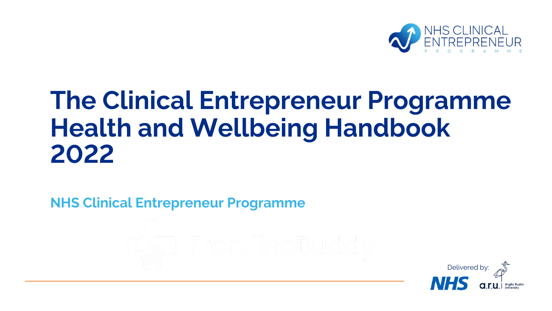

# **The Clinical Entrepreneur Programme Health and Wellbeing Handbook** 2022

**NHS Clinical Entrepreneur Programme** 

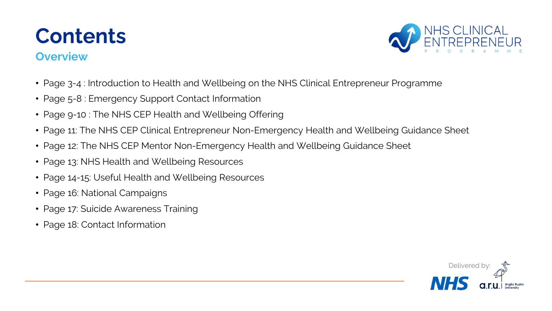## **Contents**

### **Overview**



- Page 3-4 : Introduction to Health and Wellbeing on the NHS Clinical Entrepreneur Programme
- Page 5-8 : Emergency Support Contact Information
- Page 9-10 : The NHS CEP Health and Wellbeing Offering
- Page 11: The NHS CEP Clinical Entrepreneur Non-Emergency Health and Wellbeing Guidance Sheet
- Page 12: The NHS CEP Mentor Non-Emergency Health and Wellbeing Guidance Sheet
- Page 13: NHS Health and Wellbeing Resources
- Page 14-15: Useful Health and Wellbeing Resources
- Page 16: National Campaigns
- Page 17: Suicide Awareness Training
- Page 18: Contact Information

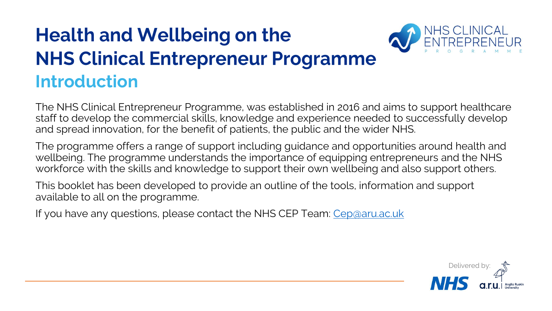## **Health and Wellbeing on the NHS Clinical Entrepreneur Programme Introduction**



The NHS Clinical Entrepreneur Programme, was established in 2016 and aims to support healthcare staff to develop the commercial skills, knowledge and experience needed to successfully develop and spread innovation, for the benefit of patients, the public and the wider NHS.

The programme offers a range of support including guidance and opportunities around health and wellbeing. The programme understands the importance of equipping entrepreneurs and the NHS workforce with the skills and knowledge to support their own wellbeing and also support others.

This booklet has been developed to provide an outline of the tools, information and support available to all on the programme.

If you have any questions, please contact the NHS CEP Team: [Cep@aru.ac.uk](mailto:Cep@aru.ac.uk)

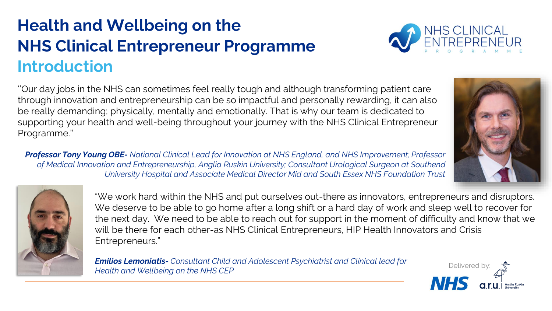### **Health and Wellbeing on the NHS Clinical Entrepreneur Programme Introduction**



''Our day jobs in the NHS can sometimes feel really tough and although transforming patient care through innovation and entrepreneurship can be so impactful and personally rewarding, it can also be really demanding; physically, mentally and emotionally. That is why our team is dedicated to supporting your health and well-being throughout your journey with the NHS Clinical Entrepreneur Programme.''

*Professor Tony Young OBE- National Clinical Lead for Innovation at NHS England, and NHS Improvement; Professor of Medical Innovation and Entrepreneurship, Anglia Ruskin University; Consultant Urological Surgeon at Southend University Hospital and Associate Medical Director Mid and South Essex NHS Foundation Trust*





"We work hard within the NHS and put ourselves out-there as innovators, entrepreneurs and disruptors. We deserve to be able to go home after a long shift or a hard day of work and sleep well to recover for the next day. We need to be able to reach out for support in the moment of difficulty and know that we will be there for each other-as NHS Clinical Entrepreneurs, HIP Health Innovators and Crisis Entrepreneurs."

*Emilios Lemoniatis- Consultant Child and Adolescent Psychiatrist and Clinical lead for Health and Wellbeing on the NHS CEP*

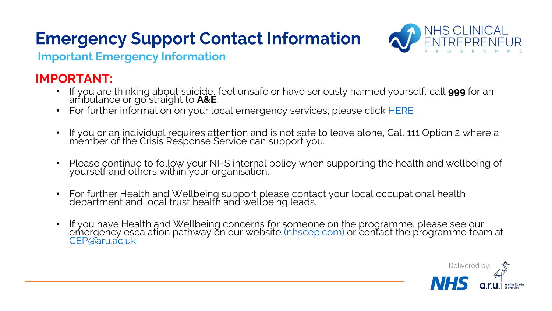

**Important Emergency Information** 

### **IMPORTANT:**

- If you are thinking about suicide, feel unsafe or have seriously harmed yourself, call **999** for an ambulance or go straight to **A&E**.
- For further information on your local emergency services, please click **[HERE](https://www.nhs.uk/nhs-services/urgent-and-emergency-care-services/)**
- If you or an individual requires attention and is not safe to leave alone, Call 111 Option 2 where a member of the Crisis Response Service can support you.
- Please continue to follow your NHS internal policy when supporting the health and wellbeing of yourself and others within your organisation.
- For further Health and Wellbeing support please contact your local occupational health department and local trust health and wellbeing leads.
- If you have Health and Wellbeing concerns for someone on the programme, please see our emergency escalation pathway on our website <u>[\(nhscep.com\)](https://nhscep.com/)</u> or contact the programme team at [CEP@aru.ac.uk](mailto:CEP@aru.ac.uk)

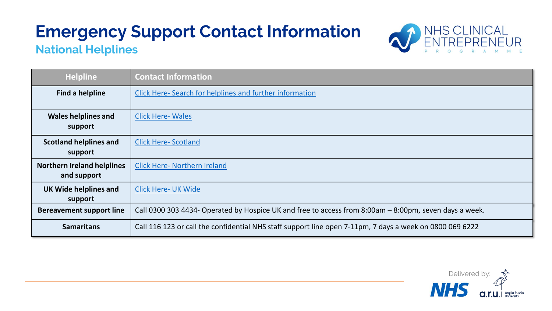

### **National Helplines**

| <b>Helpline</b>                                  | <b>Contact Information</b>                                                                               |  |
|--------------------------------------------------|----------------------------------------------------------------------------------------------------------|--|
| <b>Find a helpline</b>                           | Click Here- Search for helplines and further information                                                 |  |
| <b>Wales helplines and</b><br>support            | <b>Click Here-Wales</b>                                                                                  |  |
| <b>Scotland helplines and</b><br>support         | <b>Click Here-Scotland</b>                                                                               |  |
| <b>Northern Ireland helplines</b><br>and support | <b>Click Here- Northern Ireland</b>                                                                      |  |
| <b>UK Wide helplines and</b><br>support          | <b>Click Here- UK Wide</b>                                                                               |  |
| <b>Bereavement support line</b>                  | Call 0300 303 4434- Operated by Hospice UK and free to access from 8:00am - 8:00pm, seven days a week.   |  |
| <b>Samaritans</b>                                | Call 116 123 or call the confidential NHS staff support line open 7-11pm, 7 days a week on 0800 069 6222 |  |

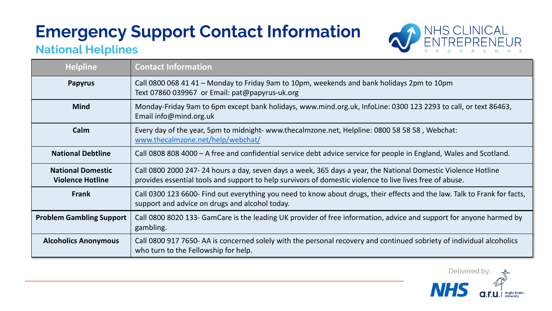

### **National Helplines**

| <b>Helpline</b>                                     | <b>Contact Information</b>                                                                                                                                                                                                |  |  |  |  |
|-----------------------------------------------------|---------------------------------------------------------------------------------------------------------------------------------------------------------------------------------------------------------------------------|--|--|--|--|
| <b>Papyrus</b>                                      | Call 0800 068 41 41 - Monday to Friday 9am to 10pm, weekends and bank holidays 2pm to 10pm<br>Text 07860 039967 or Email: pat@papyrus-uk.org                                                                              |  |  |  |  |
| <b>Mind</b>                                         | Monday-Friday 9am to 6pm except bank holidays, www.mind.org.uk, InfoLine: 0300 123 2293 to call, or text 86463,<br>Email info@mind.org.uk                                                                                 |  |  |  |  |
| Calm                                                | Every day of the year, 5pm to midnight-www.thecalmzone.net, Helpline: 0800 58 58 58, Webchat:<br>www.thecalmzone.net/help/webchat/                                                                                        |  |  |  |  |
| <b>National Debtline</b>                            | Call 0808 808 4000 – A free and confidential service debt advice service for people in England, Wales and Scotland.                                                                                                       |  |  |  |  |
| <b>National Domestic</b><br><b>Violence Hotline</b> | Call 0800 2000 247-24 hours a day, seven days a week, 365 days a year, the National Domestic Violence Hotline<br>provides essential tools and support to help survivors of domestic violence to live lives free of abuse. |  |  |  |  |
| <b>Frank</b>                                        | Call 0300 123 6600- Find out everything you need to know about drugs, their effects and the law. Talk to Frank for facts,<br>support and advice on drugs and alcohol today.                                               |  |  |  |  |
| <b>Problem Gambling Support</b>                     | Call 0800 8020 133- GamCare is the leading UK provider of free information, advice and support for anyone harmed by<br>gambling.                                                                                          |  |  |  |  |
| <b>Alcoholics Anonymous</b>                         | Call 0800 917 7650- AA is concerned solely with the personal recovery and continued sobriety of individual alcoholics<br>who turn to the Fellowship for help.                                                             |  |  |  |  |

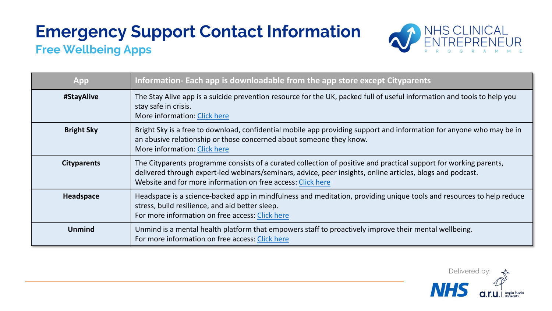### **Free Wellbeing Apps**



| App                | Information- Each app is downloadable from the app store except Cityparents                                                                                                                                                                                                                    |
|--------------------|------------------------------------------------------------------------------------------------------------------------------------------------------------------------------------------------------------------------------------------------------------------------------------------------|
| #StayAlive         | The Stay Alive app is a suicide prevention resource for the UK, packed full of useful information and tools to help you<br>stay safe in crisis.<br>More information: Click here                                                                                                                |
| <b>Bright Sky</b>  | Bright Sky is a free to download, confidential mobile app providing support and information for anyone who may be in<br>an abusive relationship or those concerned about someone they know.<br>More information: Click here                                                                    |
| <b>Cityparents</b> | The Cityparents programme consists of a curated collection of positive and practical support for working parents,<br>delivered through expert-led webinars/seminars, advice, peer insights, online articles, blogs and podcast.<br>Website and for more information on free access: Click here |
| Headspace          | Headspace is a science-backed app in mindfulness and meditation, providing unique tools and resources to help reduce<br>stress, build resilience, and aid better sleep.<br>For more information on free access: Click here                                                                     |
| <b>Unmind</b>      | Unmind is a mental health platform that empowers staff to proactively improve their mental wellbeing.<br>For more information on free access: Click here                                                                                                                                       |

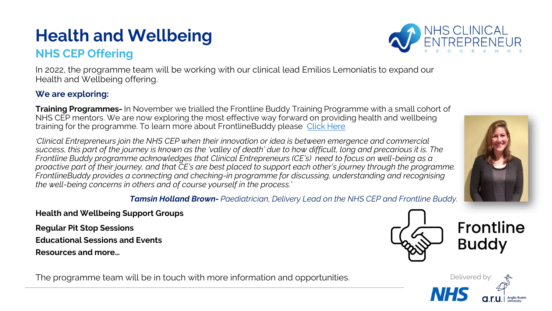### **NHS CEP Offering**

In 2022, the programme team will be working with our clinical lead Emilios Lemoniatis to expand our Health and Wellbeing offering.

#### **We are exploring:**

**Training Programmes-** In November we trialled the Frontline Buddy Training Programme with a small cohort of NHS CEP mentors. We are now exploring the most effective way forward on providing health and wellbeing training for the programme. To learn more about FrontlineBuddy please [Click Here](https://www.frontlinebuddy.com/)

*'Clinical Entrepreneurs join the NHS CEP when their innovation or idea is between emergence and commercial success, this part of the journey is known as the 'valley of death' due to how difficult, long and precarious it is. The Frontline Buddy programme acknowledges that Clinical Entrepreneurs (CE's) need to focus on well-being as a proactive part of their journey, and that CE's are best placed to support each other's journey through the programme. FrontlineBuddy provides a connecting and checking-in programme for discussing, understanding and recognising the well-being concerns in others and of course yourself in the process.'* 

*Tamsin Holland Brown- Paediatrician, Delivery Lead on the NHS CEP and Frontline Buddy.* 

**Health and Wellbeing Support Groups**

**Regular Pit Stop Sessions** 

**Educational Sessions and Events**

**Resources and more…**

The programme team will be in touch with more information and opportunities. The programme team will be in touch with more information and opportunities.







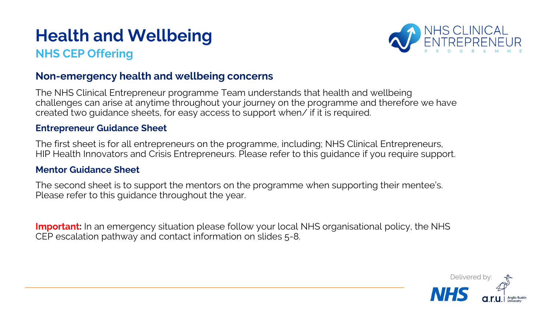### **NHS CEP Offering**



#### **Non-emergency health and wellbeing concerns**

The NHS Clinical Entrepreneur programme Team understands that health and wellbeing challenges can arise at anytime throughout your journey on the programme and therefore we have created two guidance sheets, for easy access to support when/ if it is required.

#### **Entrepreneur Guidance Sheet**

The first sheet is for all entrepreneurs on the programme, including; NHS Clinical Entrepreneurs, HIP Health Innovators and Crisis Entrepreneurs. Please refer to this guidance if you require support.

#### **Mentor Guidance Sheet**

The second sheet is to support the mentors on the programme when supporting their mentee's. Please refer to this guidance throughout the year.

**Important:** In an emergency situation please follow your local NHS organisational policy, the NHS CEP escalation pathway and contact information on slides 5-8.

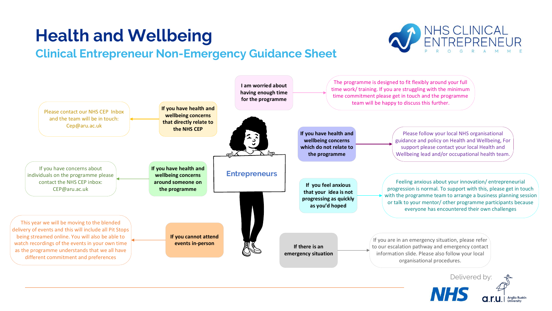### **Clinical Entrepreneur Non-Emergency Guidance Sheet**



# NHS CLINICAL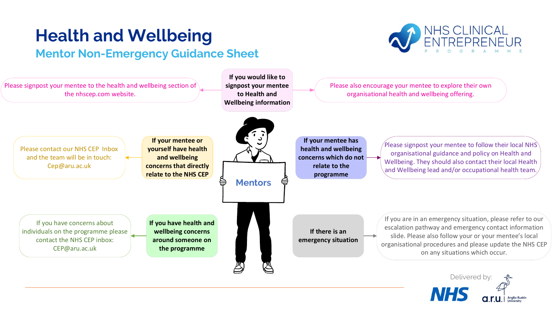### **Mentor Non-Emergency Guidance Sheet**



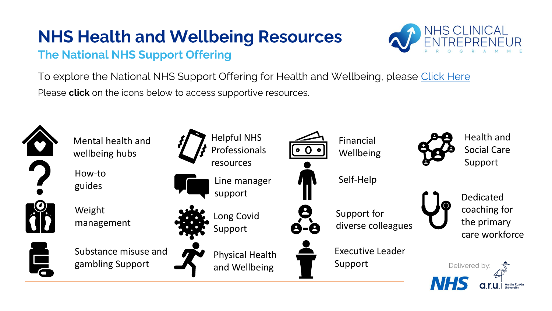### **The National NHS Support Offering**



To explore the National NHS Support Offering for Health and Wellbeing, please [Click Here](https://www.england.nhs.uk/supporting-our-nhs-people/) Please **click** on the icons below to access supportive resources.

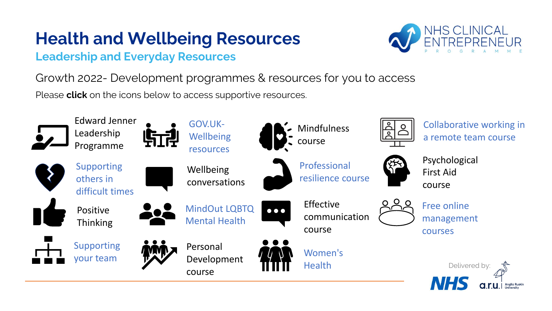### **Leadership and Everyday Resources**



Growth 2022- Development programmes & resources for you to access

Please **click** on the icons below to access supportive resources.

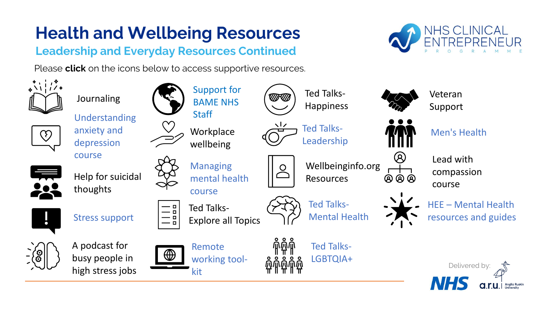### **Leadership and Everyday Resources Continued**

Please **click** on the icons below to access supportive resources.



NHS CLINICAL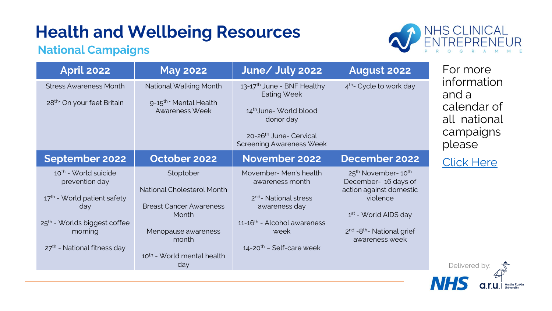### **National Campaigns**



| <b>April 2022</b>                                                                                                                                                                            | <b>May 2022</b>                                                                                                                                              | June/ July 2022                                                                                                                                                                              | <b>August 2022</b>                                                                                                                                                                                                   | For more                                                                   |
|----------------------------------------------------------------------------------------------------------------------------------------------------------------------------------------------|--------------------------------------------------------------------------------------------------------------------------------------------------------------|----------------------------------------------------------------------------------------------------------------------------------------------------------------------------------------------|----------------------------------------------------------------------------------------------------------------------------------------------------------------------------------------------------------------------|----------------------------------------------------------------------------|
| <b>Stress Awareness Month</b><br>28 <sup>th-</sup> On your feet Britain                                                                                                                      | National Walking Month<br>9-15 <sup>th -</sup> Mental Health<br>Awareness Week                                                                               | 13-17 <sup>th</sup> June - BNF Healthy<br><b>Eating Week</b><br>14 <sup>th</sup> June-World blood<br>donor day<br>20-26 <sup>th</sup> June- Cervical<br><b>Screening Awareness Week</b>      | 4 <sup>th</sup> - Cycle to work day                                                                                                                                                                                  | information<br>and a<br>calendar of<br>all national<br>campaigns<br>please |
| September 2022                                                                                                                                                                               | October 2022                                                                                                                                                 | November 2022                                                                                                                                                                                | December 2022                                                                                                                                                                                                        | <b>Click Here</b>                                                          |
| 10 <sup>th</sup> - World suicide<br>prevention day<br>17 <sup>th</sup> - World patient safety<br>day<br>25 <sup>th</sup> - Worlds biggest coffee<br>morning<br>$27th$ - National fitness day | Stoptober<br>National Cholesterol Month<br><b>Breast Cancer Awareness</b><br>Month<br>Menopause awareness<br>month<br>10 <sup>th</sup> - World mental health | Movember-Men's health<br>awareness month<br>2 <sup>nd</sup> - National stress<br>awareness day<br>11-16 <sup>th</sup> - Alcohol awareness<br>week<br>$14$ -20 <sup>th</sup> – Self-care week | 25 <sup>th</sup> November-10 <sup>th</sup><br>December- 16 days of<br>action against domestic<br>violence<br>1 <sup>st</sup> - World AIDS day<br>2 <sup>nd</sup> -8 <sup>th</sup> - National grief<br>awareness week |                                                                            |
|                                                                                                                                                                                              | day                                                                                                                                                          |                                                                                                                                                                                              |                                                                                                                                                                                                                      | Delivered by:                                                              |

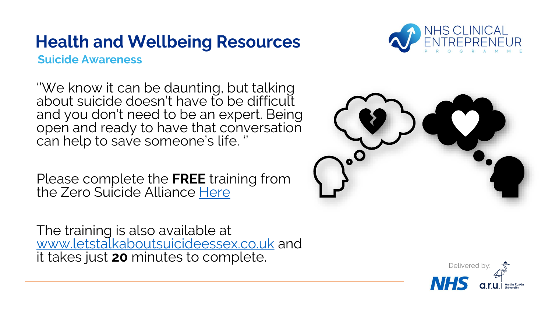

**Suicide Awareness** 

''We know it can be daunting, but talking about suicide doesn't have to be difficult and you don't need to be an expert. Being open and ready to have that conversation can help to save someone's life. ''

Please complete the **FREE** training from the Zero Suicide Alliance [Here](https://www.zerosuicidealliance.com/training?msclkid=95e2e8daa90011ec9ffecd171ec554f4)

The training is also available at [www.letstalkaboutsuicideessex.co.uk](http://www.letstalkaboutsuicideessex.co.uk/) and it takes just **20** minutes to complete.